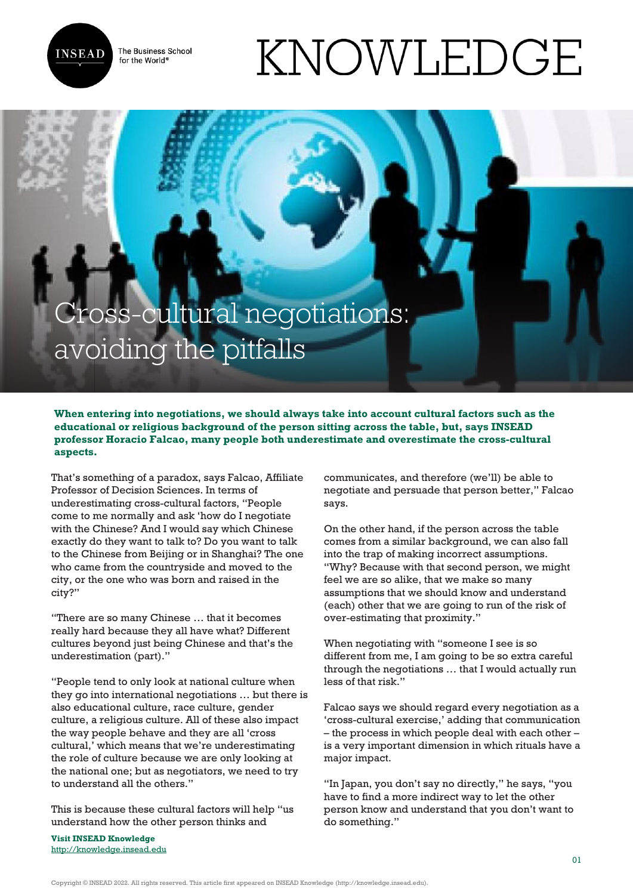The Business School for the World<sup>®</sup>



## KNOWLEDGE

## Cross-cultural negotiations: avoiding the pitfalls

**When entering into negotiations, we should always take into account cultural factors such as the educational or religious background of the person sitting across the table, but, says INSEAD professor Horacio Falcao, many people both underestimate and overestimate the cross-cultural aspects.**

That's something of a paradox, says Falcao, Affiliate Professor of Decision Sciences. In terms of underestimating cross-cultural factors, "People come to me normally and ask 'how do I negotiate with the Chinese? And I would say which Chinese exactly do they want to talk to? Do you want to talk to the Chinese from Beijing or in Shanghai? The one who came from the countryside and moved to the city, or the one who was born and raised in the city?"

"There are so many Chinese … that it becomes really hard because they all have what? Different cultures beyond just being Chinese and that's the underestimation (part)."

"People tend to only look at national culture when they go into international negotiations … but there is also educational culture, race culture, gender culture, a religious culture. All of these also impact the way people behave and they are all 'cross cultural,' which means that we're underestimating the role of culture because we are only looking at the national one; but as negotiators, we need to try to understand all the others."

This is because these cultural factors will help "us understand how the other person thinks and

**Visit INSEAD Knowledge** <http://knowledge.insead.edu> communicates, and therefore (we'll) be able to negotiate and persuade that person better," Falcao says.

On the other hand, if the person across the table comes from a similar background, we can also fall into the trap of making incorrect assumptions. "Why? Because with that second person, we might feel we are so alike, that we make so many assumptions that we should know and understand (each) other that we are going to run of the risk of over-estimating that proximity."

When negotiating with "someone I see is so different from me, I am going to be so extra careful through the negotiations … that I would actually run less of that risk."

Falcao says we should regard every negotiation as a 'cross-cultural exercise,' adding that communication – the process in which people deal with each other – is a very important dimension in which rituals have a major impact.

"In Japan, you don't say no directly," he says, "you have to find a more indirect way to let the other person know and understand that you don't want to do something."

Copyright © INSEAD 2022. All rights reserved. This article first appeared on INSEAD Knowledge (http://knowledge.insead.edu).